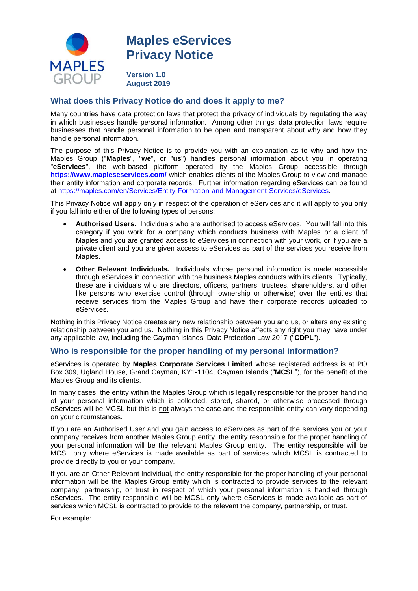

# **Maples eServices Privacy Notice**

**Version 1.0 August 2019**

## **What does this Privacy Notice do and does it apply to me?**

Many countries have data protection laws that protect the privacy of individuals by regulating the way in which businesses handle personal information. Among other things, data protection laws require businesses that handle personal information to be open and transparent about why and how they handle personal information.

The purpose of this Privacy Notice is to provide you with an explanation as to why and how the Maples Group ("**Maples**", "**we**", or "**us**") handles personal information about you in operating "**eServices**", the web-based platform operated by the Maples Group accessible through **<https://www.mapleseservices.com/>** which enables clients of the Maples Group to view and manage their entity information and corporate records. Further information regarding eServices can be found at [https://maples.com/en/Services/Entity-Formation-and-Management-Services/eServices.](https://maples.com/en/Services/Entity-Formation-and-Management-Services/eServices)

This Privacy Notice will apply only in respect of the operation of eServices and it will apply to you only if you fall into either of the following types of persons:

- **Authorised Users.** Individuals who are authorised to access eServices. You will fall into this category if you work for a company which conducts business with Maples or a client of Maples and you are granted access to eServices in connection with your work, or if you are a private client and you are given access to eServices as part of the services you receive from Maples.
- **Other Relevant Individuals.** Individuals whose personal information is made accessible through eServices in connection with the business Maples conducts with its clients. Typically, these are individuals who are directors, officers, partners, trustees, shareholders, and other like persons who exercise control (through ownership or otherwise) over the entities that receive services from the Maples Group and have their corporate records uploaded to eServices.

Nothing in this Privacy Notice creates any new relationship between you and us, or alters any existing relationship between you and us. Nothing in this Privacy Notice affects any right you may have under any applicable law, including the Cayman Islands' Data Protection Law 2017 ("CDPL").

## **Who is responsible for the proper handling of my personal information?**

eServices is operated by **Maples Corporate Services Limited** whose registered address is at PO Box 309, Ugland House, Grand Cayman, KY1-1104, Cayman Islands ("**MCSL**"), for the benefit of the Maples Group and its clients.

In many cases, the entity within the Maples Group which is legally responsible for the proper handling of your personal information which is collected, stored, shared, or otherwise processed through eServices will be MCSL but this is not always the case and the responsible entity can vary depending on your circumstances.

If you are an Authorised User and you gain access to eServices as part of the services you or your company receives from another Maples Group entity, the entity responsible for the proper handling of your personal information will be the relevant Maples Group entity. The entity responsible will be MCSL only where eServices is made available as part of services which MCSL is contracted to provide directly to you or your company.

If you are an Other Relevant Individual, the entity responsible for the proper handling of your personal information will be the Maples Group entity which is contracted to provide services to the relevant company, partnership, or trust in respect of which your personal information is handled through eServices. The entity responsible will be MCSL only where eServices is made available as part of services which MCSL is contracted to provide to the relevant the company, partnership, or trust.

For example: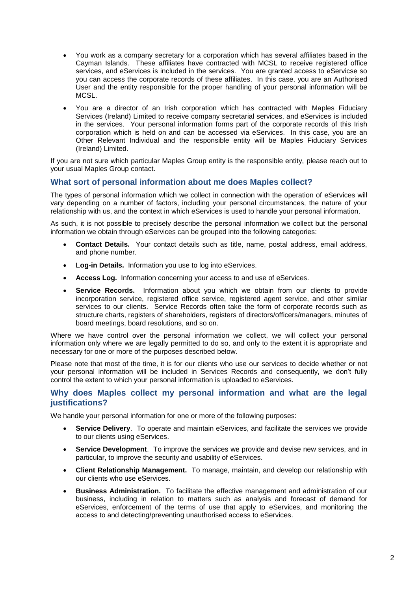- You work as a company secretary for a corporation which has several affiliates based in the Cayman Islands. These affiliates have contracted with MCSL to receive registered office services, and eServices is included in the services. You are granted access to eServicse so you can access the corporate records of these affiliates. In this case, you are an Authorised User and the entity responsible for the proper handling of your personal information will be MCSL.
- You are a director of an Irish corporation which has contracted with Maples Fiduciary Services (Ireland) Limited to receive company secretarial services, and eServices is included in the services. Your personal information forms part of the corporate records of this Irish corporation which is held on and can be accessed via eServices. In this case, you are an Other Relevant Individual and the responsible entity will be Maples Fiduciary Services (Ireland) Limited.

If you are not sure which particular Maples Group entity is the responsible entity, please reach out to your usual Maples Group contact.

## **What sort of personal information about me does Maples collect?**

The types of personal information which we collect in connection with the operation of eServices will vary depending on a number of factors, including your personal circumstances, the nature of your relationship with us, and the context in which eServices is used to handle your personal information.

As such, it is not possible to precisely describe the personal information we collect but the personal information we obtain through eServices can be grouped into the following categories:

- **Contact Details.** Your contact details such as title, name, postal address, email address, and phone number.
- **Log-in Details.** Information you use to log into eServices.
- **Access Log.** Information concerning your access to and use of eServices.
- **Service Records.** Information about you which we obtain from our clients to provide incorporation service, registered office service, registered agent service, and other similar services to our clients. Service Records often take the form of corporate records such as structure charts, registers of shareholders, registers of directors/officers/managers, minutes of board meetings, board resolutions, and so on.

Where we have control over the personal information we collect, we will collect your personal information only where we are legally permitted to do so, and only to the extent it is appropriate and necessary for one or more of the purposes described below.

Please note that most of the time, it is for our clients who use our services to decide whether or not your personal information will be included in Services Records and consequently, we don't fully control the extent to which your personal information is uploaded to eServices.

#### **Why does Maples collect my personal information and what are the legal justifications?**

We handle your personal information for one or more of the following purposes:

- **Service Delivery**. To operate and maintain eServices, and facilitate the services we provide to our clients using eServices.
- **Service Development**. To improve the services we provide and devise new services, and in particular, to improve the security and usability of eServices.
- **Client Relationship Management.** To manage, maintain, and develop our relationship with our clients who use eServices.
- **Business Administration.** To facilitate the effective management and administration of our business, including in relation to matters such as analysis and forecast of demand for eServices, enforcement of the terms of use that apply to eServices, and monitoring the access to and detecting/preventing unauthorised access to eServices.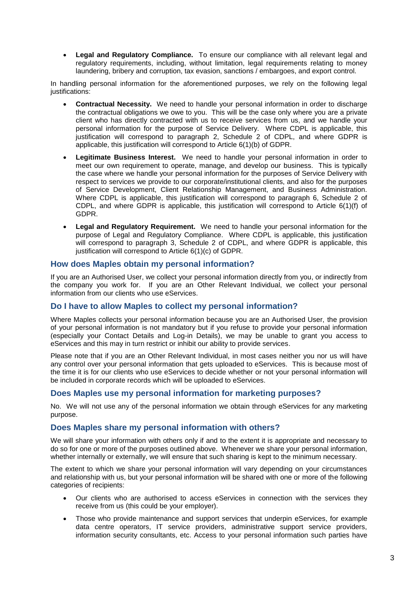**Legal and Regulatory Compliance.** To ensure our compliance with all relevant legal and regulatory requirements, including, without limitation, legal requirements relating to money laundering, bribery and corruption, tax evasion, sanctions / embargoes, and export control.

In handling personal information for the aforementioned purposes, we rely on the following legal justifications:

- **Contractual Necessity.** We need to handle your personal information in order to discharge the contractual obligations we owe to you. This will be the case only where you are a private client who has directly contracted with us to receive services from us, and we handle your personal information for the purpose of Service Delivery. Where CDPL is applicable, this justification will correspond to paragraph 2, Schedule 2 of CDPL, and where GDPR is applicable, this justification will correspond to Article 6(1)(b) of GDPR.
- **Legitimate Business Interest.** We need to handle your personal information in order to meet our own requirement to operate, manage, and develop our business. This is typically the case where we handle your personal information for the purposes of Service Delivery with respect to services we provide to our corporate/institutional clients, and also for the purposes of Service Development, Client Relationship Management, and Business Administration. Where CDPL is applicable, this justification will correspond to paragraph 6, Schedule 2 of CDPL, and where GDPR is applicable, this justification will correspond to Article 6(1)(f) of GDPR.
- **Legal and Regulatory Requirement.** We need to handle your personal information for the purpose of Legal and Regulatory Compliance. Where CDPL is applicable, this justification will correspond to paragraph 3, Schedule 2 of CDPL, and where GDPR is applicable, this justification will correspond to Article 6(1)(c) of GDPR.

#### **How does Maples obtain my personal information?**

If you are an Authorised User, we collect your personal information directly from you, or indirectly from the company you work for. If you are an Other Relevant Individual, we collect your personal information from our clients who use eServices.

## **Do I have to allow Maples to collect my personal information?**

Where Maples collects your personal information because you are an Authorised User, the provision of your personal information is not mandatory but if you refuse to provide your personal information (especially your Contact Details and Log-in Details), we may be unable to grant you access to eServices and this may in turn restrict or inhibit our ability to provide services.

Please note that if you are an Other Relevant Individual, in most cases neither you nor us will have any control over your personal information that gets uploaded to eServices. This is because most of the time it is for our clients who use eServices to decide whether or not your personal information will be included in corporate records which will be uploaded to eServices.

## **Does Maples use my personal information for marketing purposes?**

No. We will not use any of the personal information we obtain through eServices for any marketing purpose.

## **Does Maples share my personal information with others?**

We will share your information with others only if and to the extent it is appropriate and necessary to do so for one or more of the purposes outlined above. Whenever we share your personal information, whether internally or externally, we will ensure that such sharing is kept to the minimum necessary.

The extent to which we share your personal information will vary depending on your circumstances and relationship with us, but your personal information will be shared with one or more of the following categories of recipients:

- Our clients who are authorised to access eServices in connection with the services they receive from us (this could be your employer).
- Those who provide maintenance and support services that underpin eServices, for example data centre operators, IT service providers, administrative support service providers, information security consultants, etc. Access to your personal information such parties have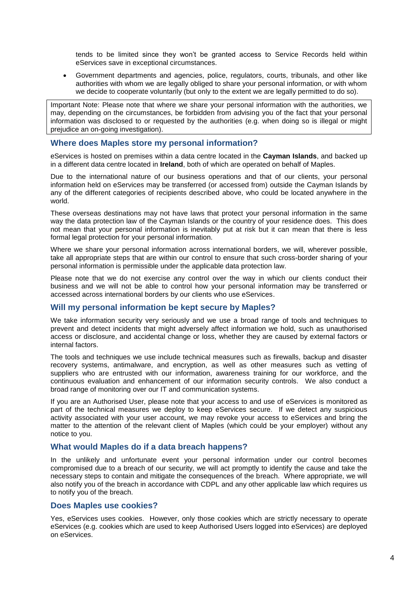tends to be limited since they won't be granted access to Service Records held within eServices save in exceptional circumstances.

 Government departments and agencies, police, regulators, courts, tribunals, and other like authorities with whom we are legally obliged to share your personal information, or with whom we decide to cooperate voluntarily (but only to the extent we are legally permitted to do so).

Important Note: Please note that where we share your personal information with the authorities, we may, depending on the circumstances, be forbidden from advising you of the fact that your personal information was disclosed to or requested by the authorities (e.g. when doing so is illegal or might prejudice an on-going investigation).

#### **Where does Maples store my personal information?**

eServices is hosted on premises within a data centre located in the **Cayman Islands**, and backed up in a different data centre located in **Ireland**, both of which are operated on behalf of Maples.

Due to the international nature of our business operations and that of our clients, your personal information held on eServices may be transferred (or accessed from) outside the Cayman Islands by any of the different categories of recipients described above, who could be located anywhere in the world.

These overseas destinations may not have laws that protect your personal information in the same way the data protection law of the Cayman Islands or the country of your residence does. This does not mean that your personal information is inevitably put at risk but it can mean that there is less formal legal protection for your personal information.

Where we share your personal information across international borders, we will, wherever possible, take all appropriate steps that are within our control to ensure that such cross-border sharing of your personal information is permissible under the applicable data protection law.

Please note that we do not exercise any control over the way in which our clients conduct their business and we will not be able to control how your personal information may be transferred or accessed across international borders by our clients who use eServices.

## **Will my personal information be kept secure by Maples?**

We take information security very seriously and we use a broad range of tools and techniques to prevent and detect incidents that might adversely affect information we hold, such as unauthorised access or disclosure, and accidental change or loss, whether they are caused by external factors or internal factors.

The tools and techniques we use include technical measures such as firewalls, backup and disaster recovery systems, antimalware, and encryption, as well as other measures such as vetting of suppliers who are entrusted with our information, awareness training for our workforce, and the continuous evaluation and enhancement of our information security controls. We also conduct a broad range of monitoring over our IT and communication systems.

If you are an Authorised User, please note that your access to and use of eServices is monitored as part of the technical measures we deploy to keep eServices secure. If we detect any suspicious activity associated with your user account, we may revoke your access to eServices and bring the matter to the attention of the relevant client of Maples (which could be your employer) without any notice to you.

#### **What would Maples do if a data breach happens?**

In the unlikely and unfortunate event your personal information under our control becomes compromised due to a breach of our security, we will act promptly to identify the cause and take the necessary steps to contain and mitigate the consequences of the breach. Where appropriate, we will also notify you of the breach in accordance with CDPL and any other applicable law which requires us to notify you of the breach.

#### **Does Maples use cookies?**

Yes, eServices uses cookies. However, only those cookies which are strictly necessary to operate eServices (e.g. cookies which are used to keep Authorised Users logged into eServices) are deployed on eServices.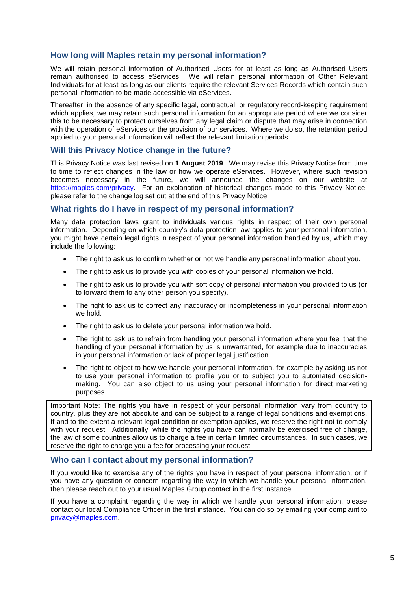## **How long will Maples retain my personal information?**

We will retain personal information of Authorised Users for at least as long as Authorised Users remain authorised to access eServices. We will retain personal information of Other Relevant Individuals for at least as long as our clients require the relevant Services Records which contain such personal information to be made accessible via eServices.

Thereafter, in the absence of any specific legal, contractual, or regulatory record-keeping requirement which applies, we may retain such personal information for an appropriate period where we consider this to be necessary to protect ourselves from any legal claim or dispute that may arise in connection with the operation of eServices or the provision of our services. Where we do so, the retention period applied to your personal information will reflect the relevant limitation periods.

## **Will this Privacy Notice change in the future?**

This Privacy Notice was last revised on **1 August 2019**. We may revise this Privacy Notice from time to time to reflect changes in the law or how we operate eServices. However, where such revision becomes necessary in the future, we will announce the changes on our website at [https://maples.com/privacy.](https://maples.com/privacy) For an explanation of historical changes made to this Privacy Notice, please refer to the change log set out at the end of this Privacy Notice.

## **What rights do I have in respect of my personal information?**

Many data protection laws grant to individuals various rights in respect of their own personal information. Depending on which country's data protection law applies to your personal information, you might have certain legal rights in respect of your personal information handled by us, which may include the following:

- The right to ask us to confirm whether or not we handle any personal information about you.
- The right to ask us to provide you with copies of your personal information we hold.
- The right to ask us to provide you with soft copy of personal information you provided to us (or to forward them to any other person you specify).
- The right to ask us to correct any inaccuracy or incompleteness in your personal information we hold.
- The right to ask us to delete your personal information we hold.
- The right to ask us to refrain from handling your personal information where you feel that the handling of your personal information by us is unwarranted, for example due to inaccuracies in your personal information or lack of proper legal justification.
- The right to object to how we handle your personal information, for example by asking us not to use your personal information to profile you or to subject you to automated decisionmaking. You can also object to us using your personal information for direct marketing purposes.

Important Note: The rights you have in respect of your personal information vary from country to country, plus they are not absolute and can be subject to a range of legal conditions and exemptions. If and to the extent a relevant legal condition or exemption applies, we reserve the right not to comply with your request. Additionally, while the rights you have can normally be exercised free of charge, the law of some countries allow us to charge a fee in certain limited circumstances. In such cases, we reserve the right to charge you a fee for processing your request.

## **Who can I contact about my personal information?**

If you would like to exercise any of the rights you have in respect of your personal information, or if you have any question or concern regarding the way in which we handle your personal information, then please reach out to your usual Maples Group contact in the first instance.

If you have a complaint regarding the way in which we handle your personal information, please contact our local Compliance Officer in the first instance. You can do so by emailing your complaint to [privacy@maples.com.](mailto:privacy@maples.com)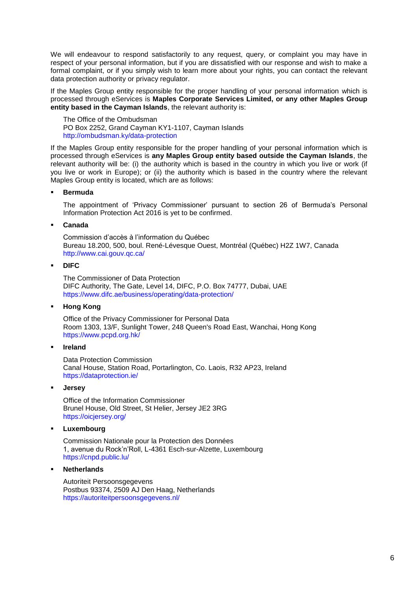We will endeavour to respond satisfactorily to any request, query, or complaint you may have in respect of your personal information, but if you are dissatisfied with our response and wish to make a formal complaint, or if you simply wish to learn more about your rights, you can contact the relevant data protection authority or privacy regulator.

If the Maples Group entity responsible for the proper handling of your personal information which is processed through eServices is **Maples Corporate Services Limited, or any other Maples Group entity based in the Cayman Islands**, the relevant authority is:

The Office of the Ombudsman PO Box 2252, Grand Cayman KY1-1107, Cayman Islands <http://ombudsman.ky/data-protection>

If the Maples Group entity responsible for the proper handling of your personal information which is processed through eServices is **any Maples Group entity based outside the Cayman Islands**, the relevant authority will be: (i) the authority which is based in the country in which you live or work (if you live or work in Europe); or (ii) the authority which is based in the country where the relevant Maples Group entity is located, which are as follows:

#### **Bermuda**

The appointment of 'Privacy Commissioner' pursuant to section 26 of Bermuda's Personal Information Protection Act 2016 is yet to be confirmed.

#### **Canada**

Commission d'accès à l'information du Québec Bureau 18.200, 500, boul. René-Lévesque Ouest, Montréal (Québec) H2Z 1W7, Canada <http://www.cai.gouv.qc.ca/>

#### **DIFC**

The Commissioner of Data Protection DIFC Authority, The Gate, Level 14, DIFC, P.O. Box 74777, Dubai, UAE <https://www.difc.ae/business/operating/data-protection/>

#### **Hong Kong**

Office of the Privacy Commissioner for Personal Data Room 1303, 13/F, Sunlight Tower, 248 Queen's Road East, Wanchai, Hong Kong <https://www.pcpd.org.hk/>

#### **Ireland**

Data Protection Commission Canal House, Station Road, Portarlington, Co. Laois, R32 AP23, Ireland <https://dataprotection.ie/>

#### **Jersey**

Office of the Information Commissioner Brunel House, Old Street, St Helier, Jersey JE2 3RG <https://oicjersey.org/>

**Luxembourg** 

Commission Nationale pour la Protection des Données 1, avenue du Rock'n'Roll, L-4361 Esch-sur-Alzette, Luxembourg <https://cnpd.public.lu/>

## **Netherlands**

Autoriteit Persoonsgegevens Postbus 93374, 2509 AJ Den Haag, Netherlands <https://autoriteitpersoonsgegevens.nl/>